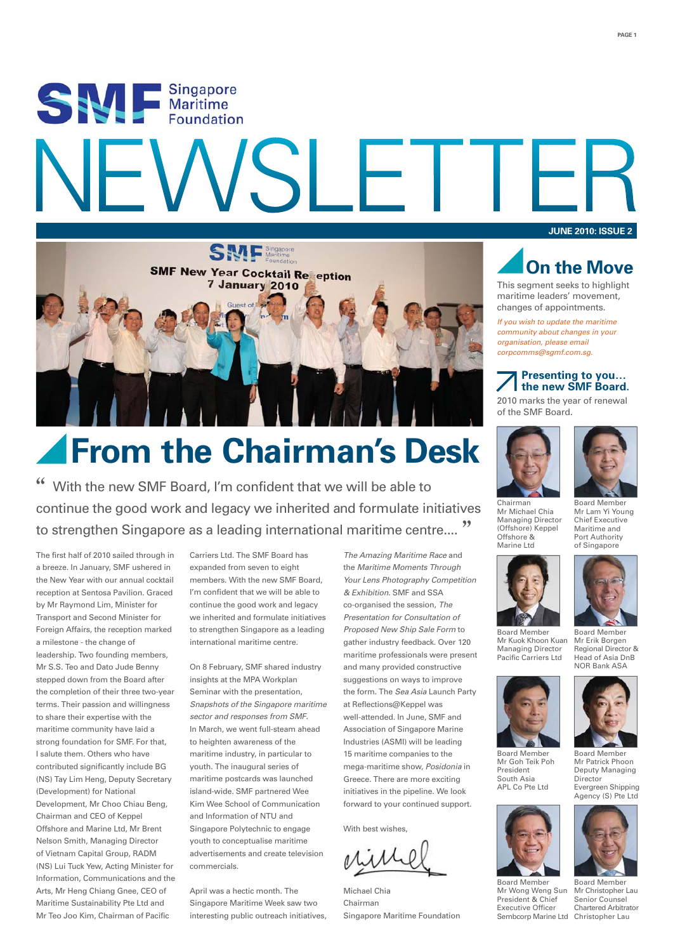# SEA E Singapore SLE.



## **From the Chairman's Desk**

With the new SMF Board, I'm confident that we will be able to continue the good work and legacy we inherited and formulate initiatives to strengthen Singapore as a leading international maritime centre...."

The first half of 2010 sailed through in a breeze. In January, SMF ushered in the New Year with our annual cocktail reception at Sentosa Pavilion. Graced by Mr Raymond Lim, Minister for Transport and Second Minister for Foreign Affairs, the reception marked a milestone - the change of leadership. Two founding members, Mr S.S. Teo and Dato Jude Benny stepped down from the Board after the completion of their three two-year terms. Their passion and willingness to share their expertise with the maritime community have laid a strong foundation for SMF. For that, I salute them. Others who have contributed significantly include BG (NS) Tay Lim Heng, Deputy Secretary (Development) for National Development, Mr Choo Chiau Beng, Chairman and CEO of Keppel Offshore and Marine Ltd, Mr Brent Nelson Smith, Managing Director of Vietnam Capital Group, RADM (NS) Lui Tuck Yew, Acting Minister for Information, Communications and the Arts, Mr Heng Chiang Gnee, CEO of Maritime Sustainability Pte Ltd and Mr Teo Joo Kim, Chairman of Pacific

Carriers Ltd. The SMF Board has expanded from seven to eight members. With the new SMF Board, I'm confident that we will be able to continue the good work and legacy we inherited and formulate initiatives to strengthen Singapore as a leading international maritime centre.

On 8 February, SMF shared industry insights at the MPA Workplan Seminar with the presentation, *Snapshots of the Singapore maritime sector and responses from SMF*. In March, we went full-steam ahead to heighten awareness of the maritime industry, in particular to youth. The inaugural series of maritime postcards was launched island-wide. SMF partnered Wee Kim Wee School of Communication and Information of NTU and Singapore Polytechnic to engage youth to conceptualise maritime advertisements and create television commercials.

April was a hectic month. The Singapore Maritime Week saw two interesting public outreach initiatives, *The Amazing Maritime Race* and the *Maritime Moments Through Your Lens Photography Competition & Exhibition*. SMF and SSA co-organised the session, *The Presentation for Consultation of Proposed New Ship Sale Form* to gather industry feedback. Over 120 maritime professionals were present and many provided constructive suggestions on ways to improve the form. The *Sea Asia* Launch Party at Reflections@Keppel was well-attended. In June, SMF and Association of Singapore Marine Industries (ASMI) will be leading 15 maritime companies to the mega-maritime show, *Posidonia* in Greece. There are more exciting initiatives in the pipeline. We look forward to your continued support.

With best wishes,

Michael Chia Chairman Singapore Maritime Foundation

**JUNE 2010: ISSUE 2**

**PAGE 1**



This segment seeks to highlight maritime leaders' movement, changes of appointments.

*If you wish to update the maritime community about changes in your organisation, please email corpcomms@sgmf.com.sg.*

#### **Presenting to you… the new SMF Board.**

2010 marks the year of renewal of the SMF Board.





Chairman Mr Michael Chia Managing Director (Offshore) Keppel Offshore & Marine Ltd



Managing Director Pacific Carriers Ltd

Mr Goh Teik Poh President South Asia APL Co Pte Ltd

Board Member Mr Wong Weng Sun President & Chief Executive Officer

Board Member Mr Erik Borgen Regional Director & Head of Asia DnB



Mr Patrick Phoon Deputy Managing Director Evergreen Shipping





Mr Kuok Khoon Kuan NOR Bank ASA



Agency (S) Pte Ltd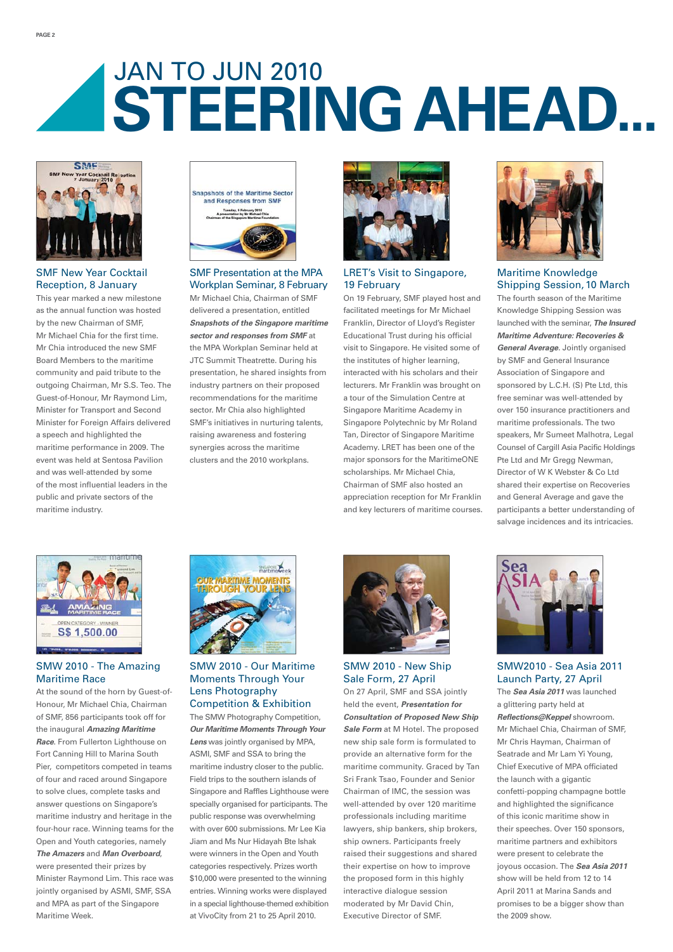## **STEERING AHEAD...** JAN TO JUN 2010



#### SMF New Year Cocktail Reception, 8 January

This year marked a new milestone as the annual function was hosted by the new Chairman of SMF, Mr Michael Chia for the first time. Mr Chia introduced the new SMF Board Members to the maritime community and paid tribute to the outgoing Chairman, Mr S.S. Teo. The Guest-of-Honour, Mr Raymond Lim, Minister for Transport and Second Minister for Foreign Affairs delivered a speech and highlighted the maritime performance in 2009. The event was held at Sentosa Pavilion and was well-attended by some of the most influential leaders in the public and private sectors of the maritime industry.



#### SMF Presentation at the MPA Workplan Seminar, 8 February

Mr Michael Chia, Chairman of SMF delivered a presentation, entitled *Snapshots of the Singapore maritime sector and responses from SMF* at the MPA Workplan Seminar held at JTC Summit Theatrette. During his presentation, he shared insights from industry partners on their proposed recommendations for the maritime sector. Mr Chia also highlighted SMF's initiatives in nurturing talents, raising awareness and fostering synergies across the maritime clusters and the 2010 workplans.



#### LRET's Visit to Singapore, 19 February

On 19 February, SMF played host and facilitated meetings for Mr Michael Franklin, Director of Lloyd's Register Educational Trust during his official visit to Singapore. He visited some of the institutes of higher learning, interacted with his scholars and their lecturers. Mr Franklin was brought on a tour of the Simulation Centre at Singapore Maritime Academy in Singapore Polytechnic by Mr Roland Tan, Director of Singapore Maritime Academy. LRET has been one of the major sponsors for the MaritimeONE scholarships. Mr Michael Chia, Chairman of SMF also hosted an appreciation reception for Mr Franklin and key lecturers of maritime courses.



#### Maritime Knowledge Shipping Session,10 March

The fourth season of the Maritime Knowledge Shipping Session was launched with the seminar, *The Insured Maritime Adventure: Recoveries & General Average*. Jointly organised by SMF and General Insurance Association of Singapore and sponsored by L.C.H. (S) Pte Ltd, this free seminar was well-attended by over 150 insurance practitioners and maritime professionals. The two speakers, Mr Sumeet Malhotra, Legal Counsel of Cargill Asia Pacific Holdings Pte Ltd and Mr Gregg Newman, Director of W K Webster & Co Ltd shared their expertise on Recoveries and General Average and gave the participants a better understanding of salvage incidences and its intricacies.



#### SMW 2010 - The Amazing Maritime Race

At the sound of the horn by Guest-of-Honour, Mr Michael Chia, Chairman of SMF, 856 participants took off for the inaugural *Amazing Maritime Race*. From Fullerton Lighthouse on Fort Canning Hill to Marina South Pier, competitors competed in teams of four and raced around Singapore to solve clues, complete tasks and answer questions on Singapore's maritime industry and heritage in the four-hour race. Winning teams for the Open and Youth categories, namely *The Amazers* and *Man Overboard*, were presented their prizes by Minister Raymond Lim. This race was jointly organised by ASMI, SMF, SSA and MPA as part of the Singapore Maritime Week.



SMW 2010 - Our Maritime Moments Through Your Lens Photography Competition & Exhibition

The SMW Photography Competition, *Our Maritime Moments Through Your Lens* was jointly organised by MPA, ASMI, SMF and SSA to bring the maritime industry closer to the public. Field trips to the southern islands of Singapore and Raffles Lighthouse were specially organised for participants. The public response was overwhelming with over 600 submissions. Mr Lee Kia Jiam and Ms Nur Hidayah Bte Ishak were winners in the Open and Youth categories respectively. Prizes worth \$10,000 were presented to the winning entries. Winning works were displayed in a special lighthouse-themed exhibition at VivoCity from 21 to 25 April 2010.



SMW 2010 - New Ship Sale Form, 27 April

On 27 April, SMF and SSA jointly held the event, *Presentation for Consultation of Proposed New Ship Sale Form* at M Hotel. The proposed new ship sale form is formulated to provide an alternative form for the maritime community. Graced by Tan Sri Frank Tsao, Founder and Senior Chairman of IMC, the session was well-attended by over 120 maritime professionals including maritime lawyers, ship bankers, ship brokers, ship owners. Participants freely raised their suggestions and shared their expertise on how to improve the proposed form in this highly interactive dialogue session moderated by Mr David Chin, Executive Director of SMF.



SMW2010 - Sea Asia 2011 Launch Party, 27 April

The *Sea Asia 2011* was launched a glittering party held at *Reflections@Keppel* showroom. Mr Michael Chia, Chairman of SMF, Mr Chris Hayman, Chairman of Seatrade and Mr Lam Yi Young, Chief Executive of MPA officiated the launch with a gigantic confetti-popping champagne bottle and highlighted the significance of this iconic maritime show in their speeches. Over 150 sponsors, maritime partners and exhibitors were present to celebrate the joyous occasion. The *Sea Asia 2011* show will be held from 12 to 14 April 2011 at Marina Sands and promises to be a bigger show than the 2009 show.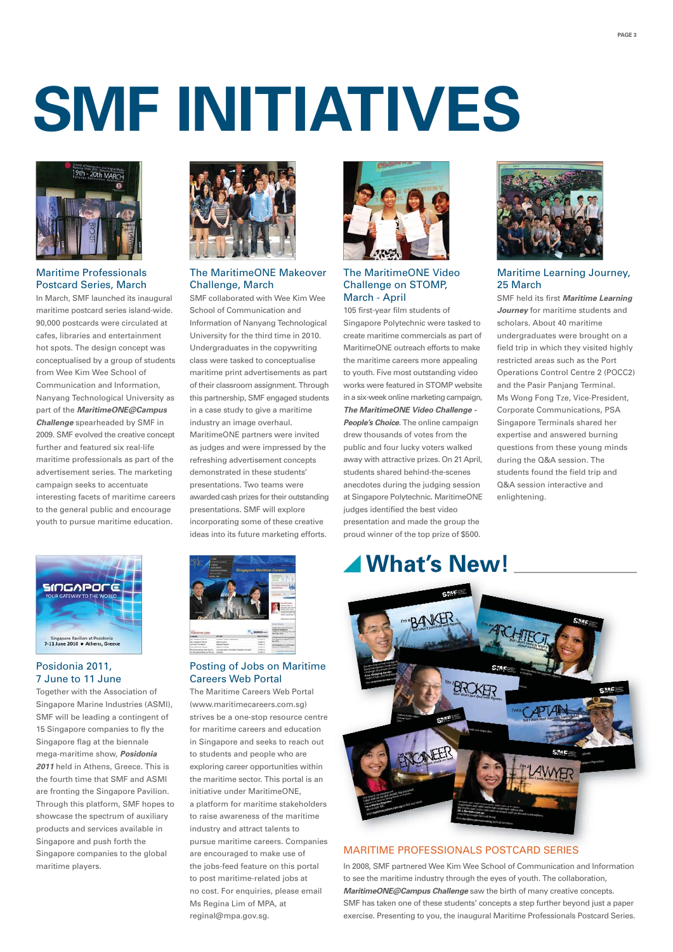#### **PAGE 3**

# **SMF INITIATIVES**



#### Maritime Professionals Postcard Series, March

In March, SMF launched its inaugural maritime postcard series island-wide. 90,000 postcards were circulated at cafes, libraries and entertainment hot spots. The design concept was conceptualised by a group of students from Wee Kim Wee School of Communication and Information, Nanyang Technological University as part of the *MaritimeONE@Campus Challenge* spearheaded by SMF in 2009. SMF evolved the creative concept further and featured six real-life maritime professionals as part of the advertisement series. The marketing campaign seeks to accentuate interesting facets of maritime careers to the general public and encourage youth to pursue maritime education.



#### Posidonia 2011, 7 June to 11 June

Together with the Association of Singapore Marine Industries (ASMI), SMF will be leading a contingent of 15 Singapore companies to fly the Singapore flag at the biennale mega-maritime show, *Posidonia 2011* held in Athens, Greece. This is the fourth time that SMF and ASMI are fronting the Singapore Pavilion. Through this platform, SMF hopes to showcase the spectrum of auxiliary products and services available in Singapore and push forth the Singapore companies to the global maritime players.



#### The MaritimeONE Makeover Challenge, March

SMF collaborated with Wee Kim Wee School of Communication and Information of Nanyang Technological University for the third time in 2010. Undergraduates in the copywriting class were tasked to conceptualise maritime print advertisements as part of their classroom assignment. Through this partnership, SMF engaged students in a case study to give a maritime industry an image overhaul. MaritimeONE partners were invited as judges and were impressed by the refreshing advertisement concepts demonstrated in these students' presentations. Two teams were awarded cash prizes for their outstanding presentations. SMF will explore incorporating some of these creative ideas into its future marketing efforts.



#### Posting of Jobs on Maritime Careers Web Portal

The Maritime Careers Web Portal (www.maritimecareers.com.sg) strives be a one-stop resource centre for maritime careers and education in Singapore and seeks to reach out to students and people who are exploring career opportunities within the maritime sector. This portal is an initiative under MaritimeONE, a platform for maritime stakeholders to raise awareness of the maritime industry and attract talents to pursue maritime careers. Companies are encouraged to make use of the jobs-feed feature on this portal to post maritime-related jobs at no cost. For enquiries, please email Ms Regina Lim of MPA, at reginal@mpa.gov.sg.



#### The MaritimeONE Video Challenge on STOMP, March - April

105 first-year film students of Singapore Polytechnic were tasked to create maritime commercials as part of MaritimeONE outreach efforts to make the maritime careers more appealing to youth. Five most outstanding video works were featured in STOMP website in a six-week online marketing campaign, *The MaritimeONE Video Challenge - People's Choice*. The online campaign drew thousands of votes from the public and four lucky voters walked away with attractive prizes. On 21 April, students shared behind-the-scenes anecdotes during the judging session at Singapore Polytechnic. MaritimeONE judges identified the best video presentation and made the group the proud winner of the top prize of \$500.

### **What's New!**



#### Maritime Learning Journey, 25 March

SMF held its first *Maritime Learning Journey* for maritime students and scholars. About 40 maritime undergraduates were brought on a field trip in which they visited highly restricted areas such as the Port Operations Control Centre 2 (POCC2) and the Pasir Panjang Terminal. Ms Wong Fong Tze, Vice-President, Corporate Communications, PSA Singapore Terminals shared her expertise and answered burning questions from these young minds during the Q&A session. The students found the field trip and Q&A session interactive and enlightening.



#### MARITIME PROFESSIONALS POSTCARD SERIES MARITIME PROFESSIONALS POSTCARD

In 2008, SMF partnered Wee Kim Wee School of Communication and Information to see the maritime industry through the eyes of youth. The collaboration, *MaritimeONE@Campus Challenge* saw the birth of many creative concepts. SMF has taken one of these students' concepts a step further beyond just a paper exercise. Presenting to you, the inaugural Maritime Professionals Postcard Series.